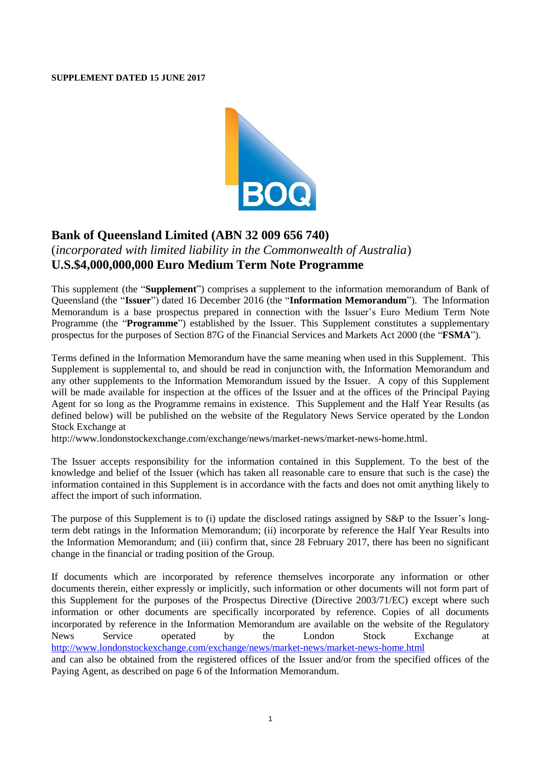#### **SUPPLEMENT DATED 15 JUNE 2017**



# **Bank of Queensland Limited (ABN 32 009 656 740)**

# (*incorporated with limited liability in the Commonwealth of Australia*) **U.S.\$4,000,000,000 Euro Medium Term Note Programme**

This supplement (the "**Supplement**") comprises a supplement to the information memorandum of Bank of Queensland (the "**Issuer**") dated 16 December 2016 (the "**Information Memorandum**"). The Information Memorandum is a base prospectus prepared in connection with the Issuer's Euro Medium Term Note Programme (the "**Programme**") established by the Issuer. This Supplement constitutes a supplementary prospectus for the purposes of Section 87G of the Financial Services and Markets Act 2000 (the "**FSMA**").

Terms defined in the Information Memorandum have the same meaning when used in this Supplement. This Supplement is supplemental to, and should be read in conjunction with, the Information Memorandum and any other supplements to the Information Memorandum issued by the Issuer. A copy of this Supplement will be made available for inspection at the offices of the Issuer and at the offices of the Principal Paying Agent for so long as the Programme remains in existence. This Supplement and the Half Year Results (as defined below) will be published on the website of the Regulatory News Service operated by the London Stock Exchange at

[http://www.londonstockexchange.com/exchange/news/market-news/market-news-home.html.](http://www.londonstockexchange.com/exchange/news/market-news/market-news-home.html)

The Issuer accepts responsibility for the information contained in this Supplement. To the best of the knowledge and belief of the Issuer (which has taken all reasonable care to ensure that such is the case) the information contained in this Supplement is in accordance with the facts and does not omit anything likely to affect the import of such information.

The purpose of this Supplement is to (i) update the disclosed ratings assigned by S&P to the Issuer's longterm debt ratings in the Information Memorandum; (ii) incorporate by reference the Half Year Results into the Information Memorandum; and (iii) confirm that, since 28 February 2017, there has been no significant change in the financial or trading position of the Group.

If documents which are incorporated by reference themselves incorporate any information or other documents therein, either expressly or implicitly, such information or other documents will not form part of this Supplement for the purposes of the Prospectus Directive (Directive 2003/71/EC) except where such information or other documents are specifically incorporated by reference. Copies of all documents incorporated by reference in the Information Memorandum are available on the website of the Regulatory News Service operated by the London Stock Exchange at <http://www.londonstockexchange.com/exchange/news/market-news/market-news-home.html> and can also be obtained from the registered offices of the Issuer and/or from the specified offices of the Paying Agent, as described on page 6 of the Information Memorandum.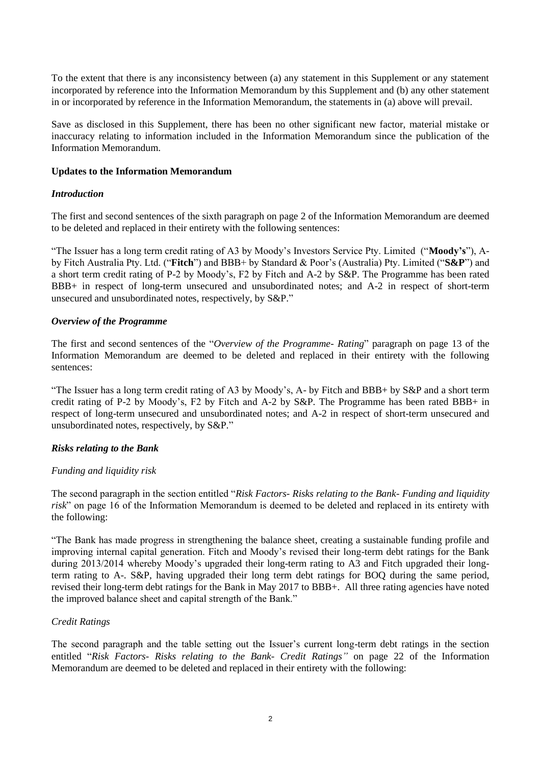To the extent that there is any inconsistency between (a) any statement in this Supplement or any statement incorporated by reference into the Information Memorandum by this Supplement and (b) any other statement in or incorporated by reference in the Information Memorandum, the statements in (a) above will prevail.

Save as disclosed in this Supplement, there has been no other significant new factor, material mistake or inaccuracy relating to information included in the Information Memorandum since the publication of the Information Memorandum.

#### **Updates to the Information Memorandum**

### *Introduction*

The first and second sentences of the sixth paragraph on page 2 of the Information Memorandum are deemed to be deleted and replaced in their entirety with the following sentences:

"The Issuer has a long term credit rating of A3 by Moody's Investors Service Pty. Limited ("**Moody's**"), Aby Fitch Australia Pty. Ltd. ("**Fitch**") and BBB+ by Standard & Poor's (Australia) Pty. Limited ("**S&P**") and a short term credit rating of P-2 by Moody's, F2 by Fitch and A-2 by S&P. The Programme has been rated BBB+ in respect of long-term unsecured and unsubordinated notes; and A-2 in respect of short-term unsecured and unsubordinated notes, respectively, by S&P."

### *Overview of the Programme*

The first and second sentences of the "*Overview of the Programme- Rating*" paragraph on page 13 of the Information Memorandum are deemed to be deleted and replaced in their entirety with the following sentences:

"The Issuer has a long term credit rating of A3 by Moody's, A- by Fitch and BBB+ by S&P and a short term credit rating of P-2 by Moody's, F2 by Fitch and A-2 by S&P. The Programme has been rated BBB+ in respect of long-term unsecured and unsubordinated notes; and A-2 in respect of short-term unsecured and unsubordinated notes, respectively, by S&P."

# *Risks relating to the Bank*

# *Funding and liquidity risk*

The second paragraph in the section entitled "*Risk Factors- Risks relating to the Bank- Funding and liquidity risk*" on page 16 of the Information Memorandum is deemed to be deleted and replaced in its entirety with the following:

"The Bank has made progress in strengthening the balance sheet, creating a sustainable funding profile and improving internal capital generation. Fitch and Moody's revised their long-term debt ratings for the Bank during 2013/2014 whereby Moody's upgraded their long-term rating to A3 and Fitch upgraded their longterm rating to A-. S&P, having upgraded their long term debt ratings for BOQ during the same period, revised their long-term debt ratings for the Bank in May 2017 to BBB+. All three rating agencies have noted the improved balance sheet and capital strength of the Bank."

# *Credit Ratings*

The second paragraph and the table setting out the Issuer's current long-term debt ratings in the section entitled "*Risk Factors- Risks relating to the Bank- Credit Ratings"* on page 22 of the Information Memorandum are deemed to be deleted and replaced in their entirety with the following: